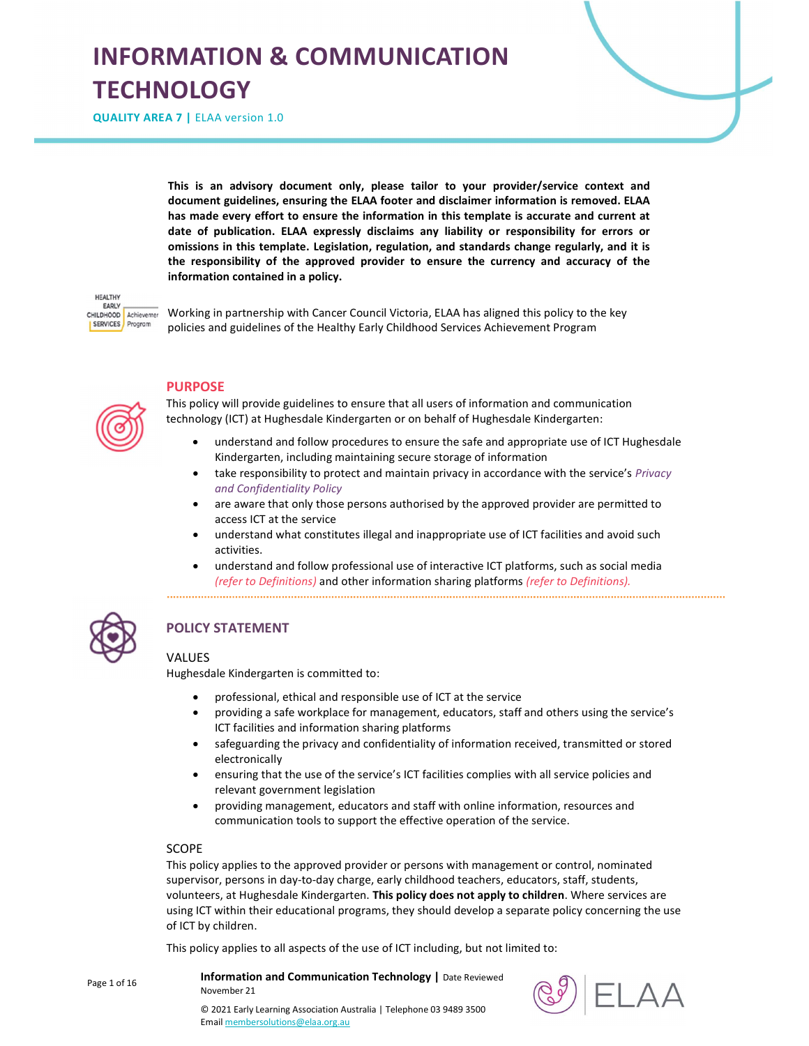# INFORMATION & COMMUNICATION **TECHNOLOGY**

QUALITY AREA 7 | ELAA version 1.0

This is an advisory document only, please tailor to your provider/service context and document guidelines, ensuring the ELAA footer and disclaimer information is removed. ELAA has made every effort to ensure the information in this template is accurate and current at date of publication. ELAA expressly disclaims any liability or responsibility for errors or omissions in this template. Legislation, regulation, and standards change regularly, and it is the responsibility of the approved provider to ensure the currency and accuracy of the information contained in a policy.



Working in partnership with Cancer Council Victoria, ELAA has aligned this policy to the key policies and guidelines of the Healthy Early Childhood Services Achievement Program



## PURPOSE

This policy will provide guidelines to ensure that all users of information and communication technology (ICT) at Hughesdale Kindergarten or on behalf of Hughesdale Kindergarten:

- understand and follow procedures to ensure the safe and appropriate use of ICT Hughesdale Kindergarten, including maintaining secure storage of information
- take responsibility to protect and maintain privacy in accordance with the service's Privacy and Confidentiality Policy
- are aware that only those persons authorised by the approved provider are permitted to access ICT at the service
- understand what constitutes illegal and inappropriate use of ICT facilities and avoid such activities.
- understand and follow professional use of interactive ICT platforms, such as social media (refer to Definitions) and other information sharing platforms (refer to Definitions).



Page 1 of 16

# POLICY STATEMENT

## **VALUES**

Hughesdale Kindergarten is committed to:

- professional, ethical and responsible use of ICT at the service
- providing a safe workplace for management, educators, staff and others using the service's ICT facilities and information sharing platforms
- safeguarding the privacy and confidentiality of information received, transmitted or stored electronically
- ensuring that the use of the service's ICT facilities complies with all service policies and relevant government legislation
- providing management, educators and staff with online information, resources and communication tools to support the effective operation of the service.

#### SCOPE

This policy applies to the approved provider or persons with management or control, nominated supervisor, persons in day-to-day charge, early childhood teachers, educators, staff, students, volunteers, at Hughesdale Kindergarten. This policy does not apply to children. Where services are using ICT within their educational programs, they should develop a separate policy concerning the use of ICT by children.

This policy applies to all aspects of the use of ICT including, but not limited to:

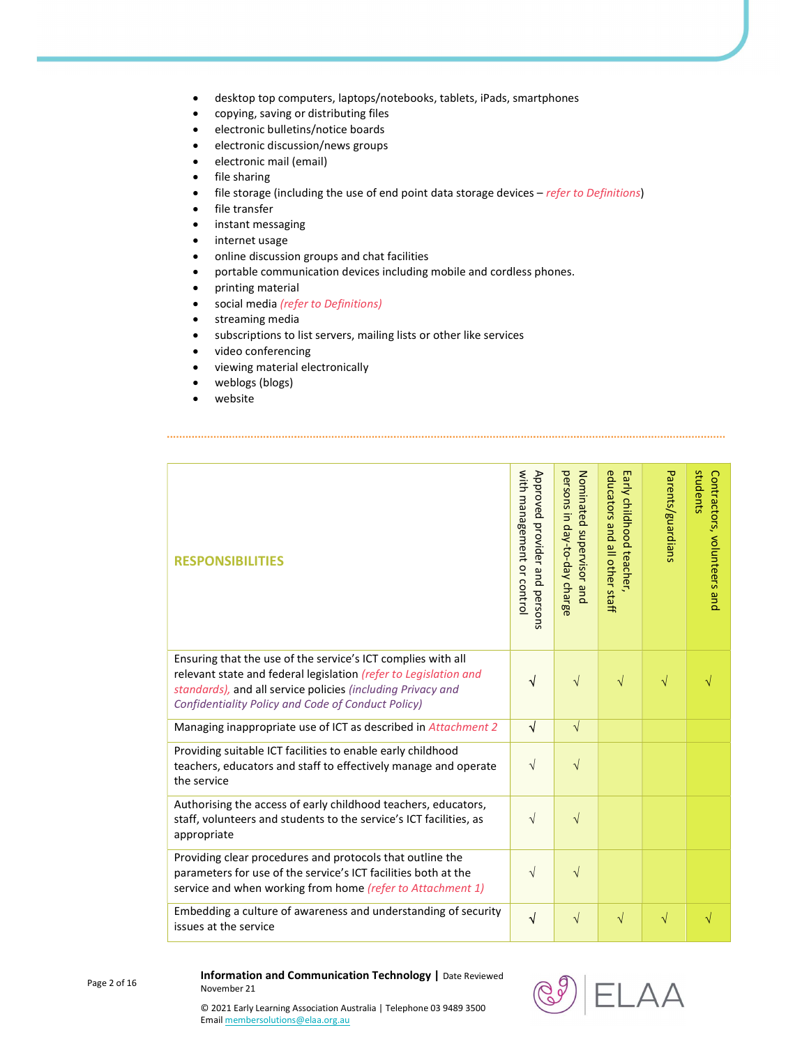- desktop top computers, laptops/notebooks, tablets, iPads, smartphones
- copying, saving or distributing files
- electronic bulletins/notice boards
- electronic discussion/news groups
- **e** electronic mail (email)
- file sharing
- $\bullet$  file storage (including the use of end point data storage devices refer to Definitions)
- **•** file transfer
- **•** instant messaging
- **•** internet usage
- online discussion groups and chat facilities
- portable communication devices including mobile and cordless phones.
- printing material
- social media (refer to Definitions)
- **•** streaming media
- subscriptions to list servers, mailing lists or other like services
- video conferencing
- viewing material electronically
- weblogs (blogs)
- website

| <b>RESPONSIBILITIES</b>                                                                                                                                                                                                                               | with management or control<br>Approved provider and persons | persons in day-to-day charge<br>Nominated supervisor and | educators and all other staff<br>Early childhood teacher, | Parents/guardians | students<br>Contractors, volunteers and |
|-------------------------------------------------------------------------------------------------------------------------------------------------------------------------------------------------------------------------------------------------------|-------------------------------------------------------------|----------------------------------------------------------|-----------------------------------------------------------|-------------------|-----------------------------------------|
| Ensuring that the use of the service's ICT complies with all<br>relevant state and federal legislation (refer to Legislation and<br>standards), and all service policies (including Privacy and<br>Confidentiality Policy and Code of Conduct Policy) | $\sqrt{}$                                                   | $\sqrt{}$                                                | $\sqrt{}$                                                 | $\sqrt{}$         | $\sqrt{}$                               |
| Managing inappropriate use of ICT as described in Attachment 2                                                                                                                                                                                        | $\sqrt{ }$                                                  | $\sqrt{}$                                                |                                                           |                   |                                         |
| Providing suitable ICT facilities to enable early childhood<br>teachers, educators and staff to effectively manage and operate<br>the service                                                                                                         | $\sqrt{}$                                                   | $\sqrt{ }$                                               |                                                           |                   |                                         |
| Authorising the access of early childhood teachers, educators,<br>staff, volunteers and students to the service's ICT facilities, as<br>appropriate                                                                                                   | $\sqrt{ }$                                                  | $\sqrt{}$                                                |                                                           |                   |                                         |
| Providing clear procedures and protocols that outline the<br>parameters for use of the service's ICT facilities both at the<br>service and when working from home (refer to Attachment 1)                                                             | $\sqrt{}$                                                   | $\sqrt{}$                                                |                                                           |                   |                                         |
| Embedding a culture of awareness and understanding of security<br>issues at the service                                                                                                                                                               | $\sqrt{}$                                                   | $\sqrt{}$                                                | $\sqrt{ }$                                                | $\sqrt{}$         | $\sqrt{}$                               |

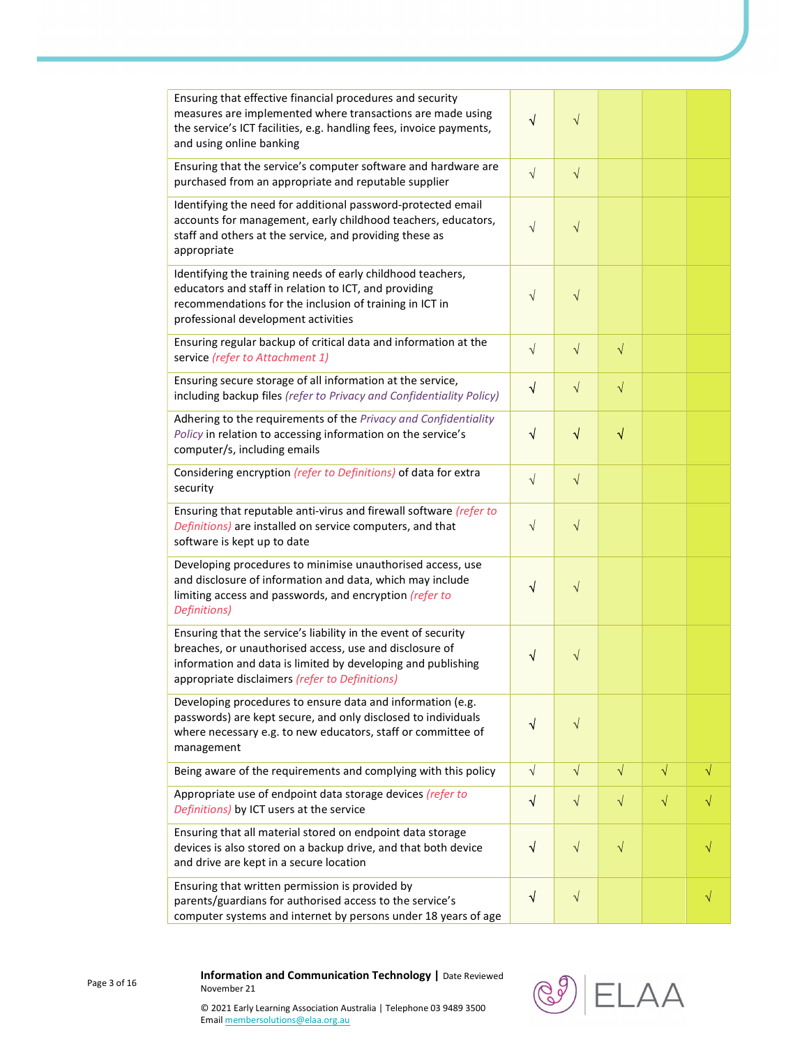| Ensuring that effective financial procedures and security<br>measures are implemented where transactions are made using<br>the service's ICT facilities, e.g. handling fees, invoice payments,<br>and using online banking                  | $\sqrt{}$  | $\sqrt{}$  |           |           |  |
|---------------------------------------------------------------------------------------------------------------------------------------------------------------------------------------------------------------------------------------------|------------|------------|-----------|-----------|--|
| Ensuring that the service's computer software and hardware are<br>purchased from an appropriate and reputable supplier                                                                                                                      | $\sqrt{}$  | $\sqrt{}$  |           |           |  |
| Identifying the need for additional password-protected email<br>accounts for management, early childhood teachers, educators,<br>staff and others at the service, and providing these as<br>appropriate                                     | $\sqrt{}$  | $\sqrt{}$  |           |           |  |
| Identifying the training needs of early childhood teachers,<br>educators and staff in relation to ICT, and providing<br>recommendations for the inclusion of training in ICT in<br>professional development activities                      | $\sqrt{}$  | $\sqrt{}$  |           |           |  |
| Ensuring regular backup of critical data and information at the<br>service (refer to Attachment 1)                                                                                                                                          | $\sqrt{}$  | $\sqrt{}$  | $\sqrt{}$ |           |  |
| Ensuring secure storage of all information at the service,<br>including backup files (refer to Privacy and Confidentiality Policy)                                                                                                          | $\sqrt{}$  | $\sqrt{}$  | $\sqrt{}$ |           |  |
| Adhering to the requirements of the Privacy and Confidentiality<br>Policy in relation to accessing information on the service's<br>computer/s, including emails                                                                             | $\sqrt{}$  | $\sqrt{}$  | $\sqrt{}$ |           |  |
| Considering encryption (refer to Definitions) of data for extra<br>security                                                                                                                                                                 | $\sqrt{}$  | $\sqrt{}$  |           |           |  |
| Ensuring that reputable anti-virus and firewall software (refer to<br>Definitions) are installed on service computers, and that<br>software is kept up to date                                                                              | $\sqrt{}$  | $\sqrt{}$  |           |           |  |
| Developing procedures to minimise unauthorised access, use<br>and disclosure of information and data, which may include<br>limiting access and passwords, and encryption (refer to<br>Definitions)                                          | $\sqrt{}$  | $\sqrt{}$  |           |           |  |
| Ensuring that the service's liability in the event of security<br>breaches, or unauthorised access, use and disclosure of<br>information and data is limited by developing and publishing<br>appropriate disclaimers (refer to Definitions) | ٧          | $\sqrt{}$  |           |           |  |
| Developing procedures to ensure data and information (e.g.<br>passwords) are kept secure, and only disclosed to individuals<br>where necessary e.g. to new educators, staff or committee of<br>management                                   | $\sqrt{}$  | $\sqrt{}$  |           |           |  |
| Being aware of the requirements and complying with this policy                                                                                                                                                                              | $\sqrt{ }$ | $\sqrt{ }$ | $\sqrt{}$ | $\sqrt{}$ |  |
| Appropriate use of endpoint data storage devices (refer to<br>Definitions) by ICT users at the service                                                                                                                                      | $\sqrt{}$  | $\sqrt{}$  | $\sqrt{}$ | $\sqrt{}$ |  |
| Ensuring that all material stored on endpoint data storage<br>devices is also stored on a backup drive, and that both device<br>and drive are kept in a secure location                                                                     | $\sqrt{}$  | $\sqrt{}$  | $\sqrt{}$ |           |  |
| Ensuring that written permission is provided by<br>parents/guardians for authorised access to the service's<br>computer systems and internet by persons under 18 years of age                                                               | $\sqrt{}$  | $\sqrt{}$  |           |           |  |

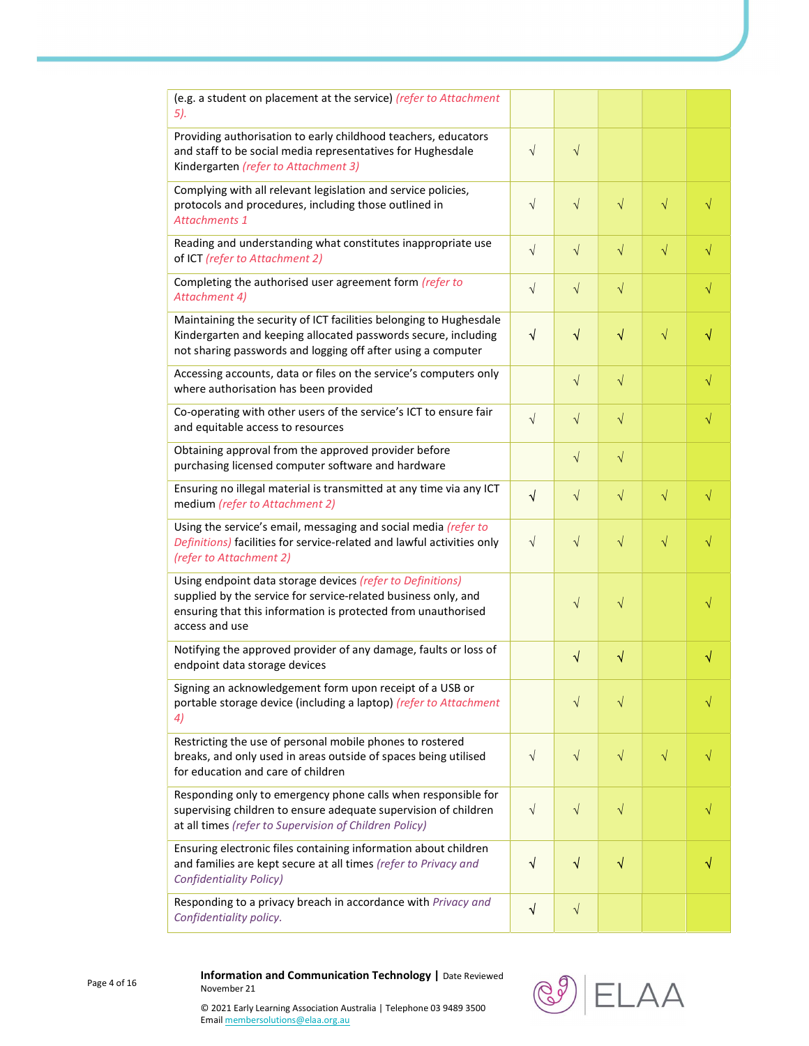| (e.g. a student on placement at the service) (refer to Attachment<br>5).                                                                                                                                        |            |            |           |           |           |
|-----------------------------------------------------------------------------------------------------------------------------------------------------------------------------------------------------------------|------------|------------|-----------|-----------|-----------|
| Providing authorisation to early childhood teachers, educators<br>and staff to be social media representatives for Hughesdale<br>Kindergarten (refer to Attachment 3)                                           | $\sqrt{ }$ | $\sqrt{ }$ |           |           |           |
| Complying with all relevant legislation and service policies,<br>protocols and procedures, including those outlined in<br><b>Attachments 1</b>                                                                  | $\sqrt{ }$ | $\sqrt{ }$ | $\sqrt{}$ | $\sqrt{}$ | $\sqrt{}$ |
| Reading and understanding what constitutes inappropriate use<br>of ICT (refer to Attachment 2)                                                                                                                  | $\sqrt{ }$ | $\sqrt{ }$ | $\sqrt{}$ | $\sqrt{}$ | $\sqrt{}$ |
| Completing the authorised user agreement form (refer to<br>Attachment 4)                                                                                                                                        | $\sqrt{}$  | $\sqrt{}$  | $\sqrt{}$ |           | $\sqrt{}$ |
| Maintaining the security of ICT facilities belonging to Hughesdale<br>Kindergarten and keeping allocated passwords secure, including<br>not sharing passwords and logging off after using a computer            | $\sqrt{ }$ | $\sqrt{}$  | $\sqrt{}$ | $\sqrt{}$ |           |
| Accessing accounts, data or files on the service's computers only<br>where authorisation has been provided                                                                                                      |            | $\sqrt{ }$ | $\sqrt{}$ |           | √         |
| Co-operating with other users of the service's ICT to ensure fair<br>and equitable access to resources                                                                                                          | $\sqrt{ }$ | $\sqrt{ }$ | $\sqrt{}$ |           | $\sqrt{}$ |
| Obtaining approval from the approved provider before<br>purchasing licensed computer software and hardware                                                                                                      |            | $\sqrt{ }$ | $\sqrt{}$ |           |           |
| Ensuring no illegal material is transmitted at any time via any ICT<br>medium (refer to Attachment 2)                                                                                                           | $\sqrt{ }$ | $\sqrt{}$  | $\sqrt{}$ | $\sqrt{}$ | $\sqrt{}$ |
| Using the service's email, messaging and social media (refer to<br>Definitions) facilities for service-related and lawful activities only<br>(refer to Attachment 2)                                            | $\sqrt{ }$ | $\sqrt{}$  | $\sqrt{}$ | $\sqrt{}$ | √         |
| Using endpoint data storage devices (refer to Definitions)<br>supplied by the service for service-related business only, and<br>ensuring that this information is protected from unauthorised<br>access and use |            | $\sqrt{}$  | $\sqrt{}$ |           |           |
| Notifying the approved provider of any damage, faults or loss of<br>endpoint data storage devices                                                                                                               |            | $\sqrt{}$  | $\sqrt{}$ |           | √         |
| Signing an acknowledgement form upon receipt of a USB or<br>portable storage device (including a laptop) (refer to Attachment<br>4)                                                                             |            | $\sqrt{}$  | $\sqrt{}$ |           |           |
| Restricting the use of personal mobile phones to rostered<br>breaks, and only used in areas outside of spaces being utilised<br>for education and care of children                                              | $\sqrt{}$  | $\sqrt{}$  | $\sqrt{}$ | $\sqrt{}$ |           |
| Responding only to emergency phone calls when responsible for<br>supervising children to ensure adequate supervision of children<br>at all times (refer to Supervision of Children Policy)                      | $\sqrt{ }$ | $\sqrt{}$  | $\sqrt{}$ |           |           |
| Ensuring electronic files containing information about children<br>and families are kept secure at all times (refer to Privacy and<br><b>Confidentiality Policy)</b>                                            | $\sqrt{ }$ | $\sqrt{ }$ | $\sqrt{}$ |           |           |
| Responding to a privacy breach in accordance with Privacy and<br>Confidentiality policy.                                                                                                                        | $\sqrt{}$  | $\sqrt{ }$ |           |           |           |

Page 4 of 16

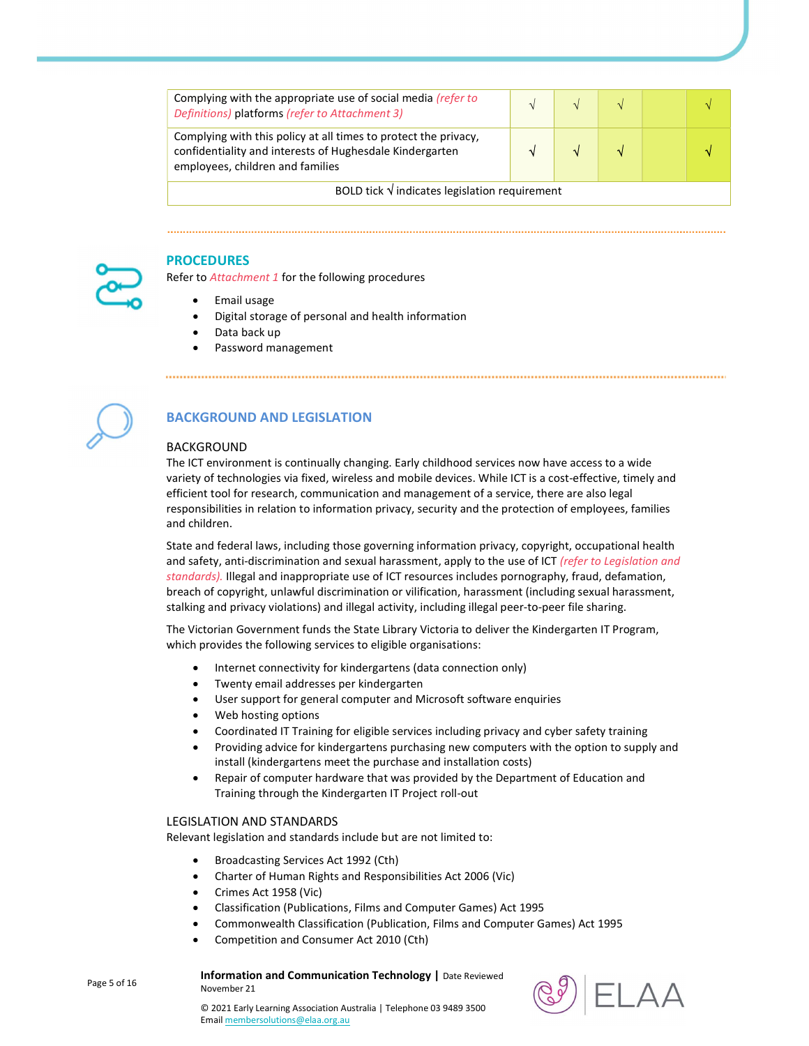| Complying with the appropriate use of social media (refer to<br>Definitions) platforms (refer to Attachment 3)                                                  |  |  |  |  |  |
|-----------------------------------------------------------------------------------------------------------------------------------------------------------------|--|--|--|--|--|
| Complying with this policy at all times to protect the privacy,<br>confidentiality and interests of Hughesdale Kindergarten<br>employees, children and families |  |  |  |  |  |
| BOLD tick $\sqrt{}$ indicates legislation requirement                                                                                                           |  |  |  |  |  |

## PROCEDURES

Refer to Attachment 1 for the following procedures

- Email usage
- Digital storage of personal and health information
- Data back up
- Password management



# BACKGROUND AND LEGISLATION

## BACKGROUND

The ICT environment is continually changing. Early childhood services now have access to a wide variety of technologies via fixed, wireless and mobile devices. While ICT is a cost-effective, timely and efficient tool for research, communication and management of a service, there are also legal responsibilities in relation to information privacy, security and the protection of employees, families and children.

State and federal laws, including those governing information privacy, copyright, occupational health and safety, anti-discrimination and sexual harassment, apply to the use of ICT (refer to Legislation and standards). Illegal and inappropriate use of ICT resources includes pornography, fraud, defamation, breach of copyright, unlawful discrimination or vilification, harassment (including sexual harassment, stalking and privacy violations) and illegal activity, including illegal peer-to-peer file sharing.

The Victorian Government funds the State Library Victoria to deliver the Kindergarten IT Program, which provides the following services to eligible organisations:

- Internet connectivity for kindergartens (data connection only)
- Twenty email addresses per kindergarten
- User support for general computer and Microsoft software enquiries
- Web hosting options
- Coordinated IT Training for eligible services including privacy and cyber safety training
- Providing advice for kindergartens purchasing new computers with the option to supply and install (kindergartens meet the purchase and installation costs)
- Repair of computer hardware that was provided by the Department of Education and Training through the Kindergarten IT Project roll-out

#### LEGISLATION AND STANDARDS

Relevant legislation and standards include but are not limited to:

- Broadcasting Services Act 1992 (Cth)
- Charter of Human Rights and Responsibilities Act 2006 (Vic)
- Crimes Act 1958 (Vic)
- Classification (Publications, Films and Computer Games) Act 1995
- Commonwealth Classification (Publication, Films and Computer Games) Act 1995
- Competition and Consumer Act 2010 (Cth)

Information and Communication Technology | Date Reviewed November 21



Page 5 of 16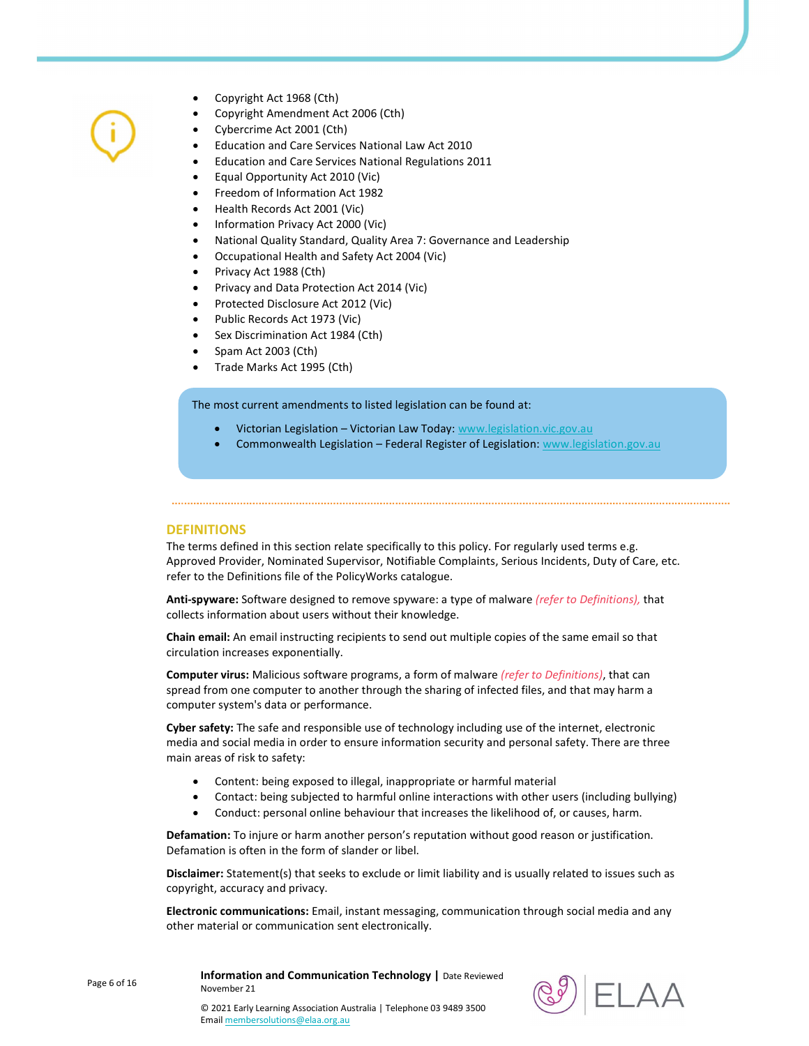- Copyright Act 1968 (Cth)
- Copyright Amendment Act 2006 (Cth)
- Cybercrime Act 2001 (Cth)
- Education and Care Services National Law Act 2010
- Education and Care Services National Regulations 2011
- Equal Opportunity Act 2010 (Vic)
- Freedom of Information Act 1982
- Health Records Act 2001 (Vic)
- Information Privacy Act 2000 (Vic)
- National Quality Standard, Quality Area 7: Governance and Leadership
- Occupational Health and Safety Act 2004 (Vic)
- Privacy Act 1988 (Cth)
- Privacy and Data Protection Act 2014 (Vic)
- Protected Disclosure Act 2012 (Vic)
- Public Records Act 1973 (Vic)
- Sex Discrimination Act 1984 (Cth)
- Spam Act 2003 (Cth)
- Trade Marks Act 1995 (Cth)

The most current amendments to listed legislation can be found at:

- Victorian Legislation Victorian Law Today: www.legislation.vic.gov.au
- Commonwealth Legislation Federal Register of Legislation: www.legislation.gov.au

#### DEFINITIONS

The terms defined in this section relate specifically to this policy. For regularly used terms e.g. Approved Provider, Nominated Supervisor, Notifiable Complaints, Serious Incidents, Duty of Care, etc. refer to the Definitions file of the PolicyWorks catalogue.

Anti-spyware: Software designed to remove spyware: a type of malware *(refer to Definitions)*, that collects information about users without their knowledge.

Chain email: An email instructing recipients to send out multiple copies of the same email so that circulation increases exponentially.

Computer virus: Malicious software programs, a form of malware (refer to Definitions), that can spread from one computer to another through the sharing of infected files, and that may harm a computer system's data or performance.

Cyber safety: The safe and responsible use of technology including use of the internet, electronic media and social media in order to ensure information security and personal safety. There are three main areas of risk to safety:

- Content: being exposed to illegal, inappropriate or harmful material
- Contact: being subjected to harmful online interactions with other users (including bullying)
- Conduct: personal online behaviour that increases the likelihood of, or causes, harm.

Defamation: To injure or harm another person's reputation without good reason or justification. Defamation is often in the form of slander or libel.

Disclaimer: Statement(s) that seeks to exclude or limit liability and is usually related to issues such as copyright, accuracy and privacy.

Electronic communications: Email, instant messaging, communication through social media and any other material or communication sent electronically.

Page 6 of 16

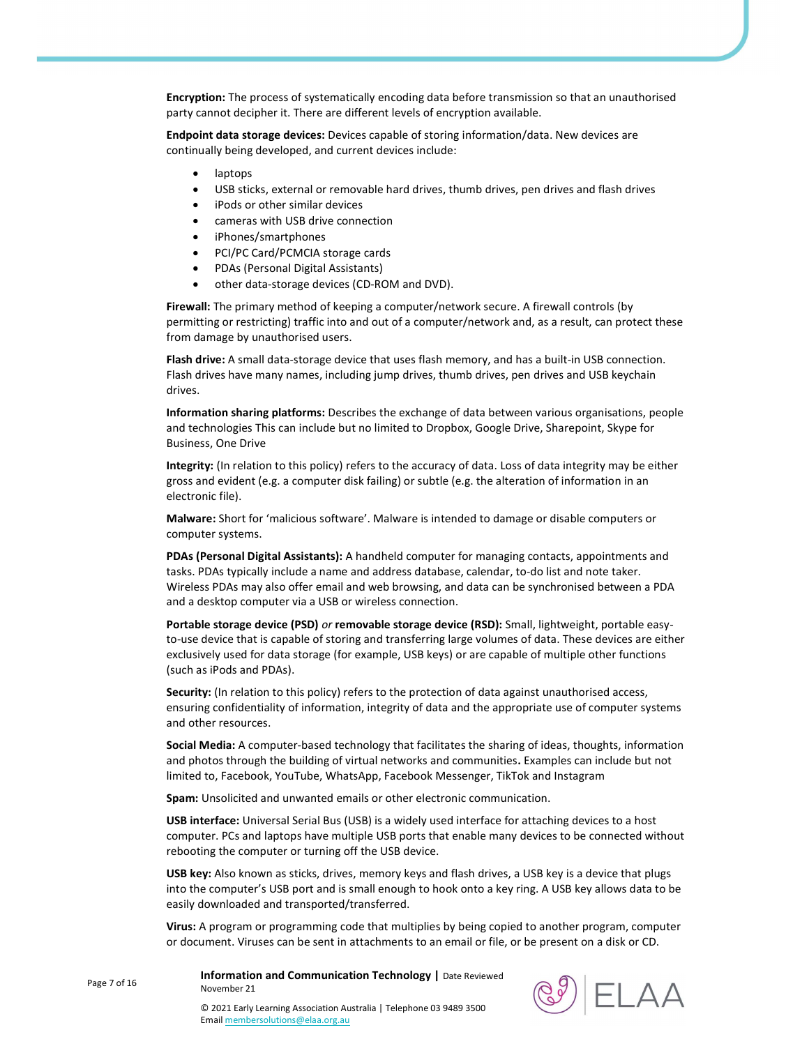Encryption: The process of systematically encoding data before transmission so that an unauthorised party cannot decipher it. There are different levels of encryption available.

Endpoint data storage devices: Devices capable of storing information/data. New devices are continually being developed, and current devices include:

- laptops
- USB sticks, external or removable hard drives, thumb drives, pen drives and flash drives
- iPods or other similar devices
- cameras with USB drive connection
- iPhones/smartphones
- PCI/PC Card/PCMCIA storage cards
- PDAs (Personal Digital Assistants)
- other data-storage devices (CD-ROM and DVD).

Firewall: The primary method of keeping a computer/network secure. A firewall controls (by permitting or restricting) traffic into and out of a computer/network and, as a result, can protect these from damage by unauthorised users.

Flash drive: A small data-storage device that uses flash memory, and has a built-in USB connection. Flash drives have many names, including jump drives, thumb drives, pen drives and USB keychain drives.

Information sharing platforms: Describes the exchange of data between various organisations, people and technologies This can include but no limited to Dropbox, Google Drive, Sharepoint, Skype for Business, One Drive

Integrity: (In relation to this policy) refers to the accuracy of data. Loss of data integrity may be either gross and evident (e.g. a computer disk failing) or subtle (e.g. the alteration of information in an electronic file).

Malware: Short for 'malicious software'. Malware is intended to damage or disable computers or computer systems.

PDAs (Personal Digital Assistants): A handheld computer for managing contacts, appointments and tasks. PDAs typically include a name and address database, calendar, to-do list and note taker. Wireless PDAs may also offer email and web browsing, and data can be synchronised between a PDA and a desktop computer via a USB or wireless connection.

Portable storage device (PSD) or removable storage device (RSD): Small, lightweight, portable easyto-use device that is capable of storing and transferring large volumes of data. These devices are either exclusively used for data storage (for example, USB keys) or are capable of multiple other functions (such as iPods and PDAs).

Security: (In relation to this policy) refers to the protection of data against unauthorised access, ensuring confidentiality of information, integrity of data and the appropriate use of computer systems and other resources.

Social Media: A computer-based technology that facilitates the sharing of ideas, thoughts, information and photos through the building of virtual networks and communities. Examples can include but not limited to, Facebook, YouTube, WhatsApp, Facebook Messenger, TikTok and Instagram

Spam: Unsolicited and unwanted emails or other electronic communication.

USB interface: Universal Serial Bus (USB) is a widely used interface for attaching devices to a host computer. PCs and laptops have multiple USB ports that enable many devices to be connected without rebooting the computer or turning off the USB device.

USB key: Also known as sticks, drives, memory keys and flash drives, a USB key is a device that plugs into the computer's USB port and is small enough to hook onto a key ring. A USB key allows data to be easily downloaded and transported/transferred.

Virus: A program or programming code that multiplies by being copied to another program, computer or document. Viruses can be sent in attachments to an email or file, or be present on a disk or CD.

Information and Communication Technology | Date Reviewed November 21



© 2021 Early Learning Association Australia | Telephone 03 9489 3500 Email membersolutions@elaa.org.au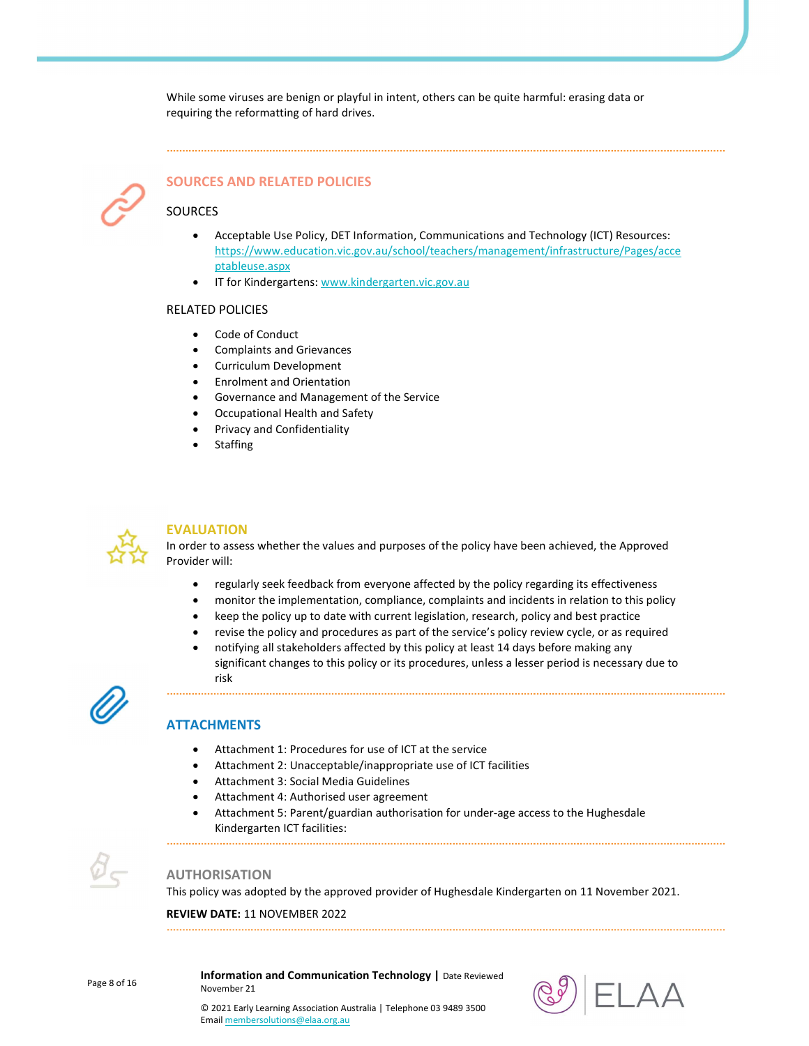While some viruses are benign or playful in intent, others can be quite harmful: erasing data or requiring the reformatting of hard drives.



# SOURCES AND RELATED POLICIES

# SOURCES

- Acceptable Use Policy, DET Information, Communications and Technology (ICT) Resources: https://www.education.vic.gov.au/school/teachers/management/infrastructure/Pages/acce ptableuse.aspx
- IT for Kindergartens: www.kindergarten.vic.gov.au

#### RELATED POLICIES

- Code of Conduct
- Complaints and Grievances
- Curriculum Development
- Enrolment and Orientation
- Governance and Management of the Service
- Occupational Health and Safety
- Privacy and Confidentiality
- **Staffing**



## EVALUATION

In order to assess whether the values and purposes of the policy have been achieved, the Approved Provider will:

- regularly seek feedback from everyone affected by the policy regarding its effectiveness
- monitor the implementation, compliance, complaints and incidents in relation to this policy
- keep the policy up to date with current legislation, research, policy and best practice
- revise the policy and procedures as part of the service's policy review cycle, or as required
- notifying all stakeholders affected by this policy at least 14 days before making any significant changes to this policy or its procedures, unless a lesser period is necessary due to risk



# **ATTACHMENTS**

- Attachment 1: Procedures for use of ICT at the service
- Attachment 2: Unacceptable/inappropriate use of ICT facilities

- Attachment 3: Social Media Guidelines
- Attachment 4: Authorised user agreement
- Attachment 5: Parent/guardian authorisation for under-age access to the Hughesdale Kindergarten ICT facilities:



## AUTHORISATION

This policy was adopted by the approved provider of Hughesdale Kindergarten on 11 November 2021.

REVIEW DATE: 11 NOVEMBER 2022

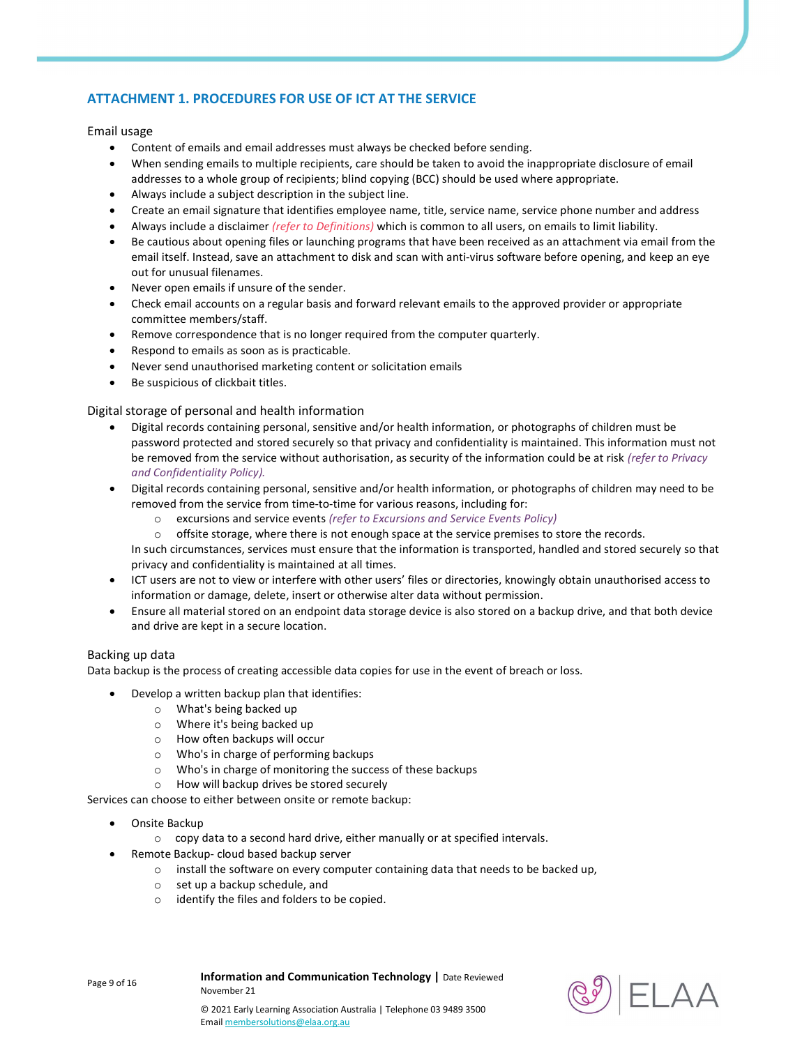# ATTACHMENT 1. PROCEDURES FOR USE OF ICT AT THE SERVICE

## Email usage

- Content of emails and email addresses must always be checked before sending.
- When sending emails to multiple recipients, care should be taken to avoid the inappropriate disclosure of email addresses to a whole group of recipients; blind copying (BCC) should be used where appropriate.
- Always include a subject description in the subject line.
- Create an email signature that identifies employee name, title, service name, service phone number and address
- Always include a disclaimer (refer to Definitions) which is common to all users, on emails to limit liability.
- Be cautious about opening files or launching programs that have been received as an attachment via email from the email itself. Instead, save an attachment to disk and scan with anti-virus software before opening, and keep an eye out for unusual filenames.
- Never open emails if unsure of the sender.
- Check email accounts on a regular basis and forward relevant emails to the approved provider or appropriate committee members/staff.
- Remove correspondence that is no longer required from the computer quarterly.
- Respond to emails as soon as is practicable.
- Never send unauthorised marketing content or solicitation emails
- Be suspicious of clickbait titles.

## Digital storage of personal and health information

- Digital records containing personal, sensitive and/or health information, or photographs of children must be password protected and stored securely so that privacy and confidentiality is maintained. This information must not be removed from the service without authorisation, as security of the information could be at risk (refer to Privacy and Confidentiality Policy).
- Digital records containing personal, sensitive and/or health information, or photographs of children may need to be removed from the service from time-to-time for various reasons, including for:
	- o excursions and service events (refer to Excursions and Service Events Policy)
	- $\circ$  offsite storage, where there is not enough space at the service premises to store the records.

In such circumstances, services must ensure that the information is transported, handled and stored securely so that privacy and confidentiality is maintained at all times.

- ICT users are not to view or interfere with other users' files or directories, knowingly obtain unauthorised access to information or damage, delete, insert or otherwise alter data without permission.
- Ensure all material stored on an endpoint data storage device is also stored on a backup drive, and that both device and drive are kept in a secure location.

## Backing up data

Data backup is the process of creating accessible data copies for use in the event of breach or loss.

- Develop a written backup plan that identifies:
	- o What's being backed up
	- o Where it's being backed up
	- o How often backups will occur
	- o Who's in charge of performing backups
	- o Who's in charge of monitoring the success of these backups
	- o How will backup drives be stored securely

Services can choose to either between onsite or remote backup:

- Onsite Backup
	- o copy data to a second hard drive, either manually or at specified intervals.
- Remote Backup- cloud based backup server

November 21

- o install the software on every computer containing data that needs to be backed up,
- o set up a backup schedule, and
- o identify the files and folders to be copied.

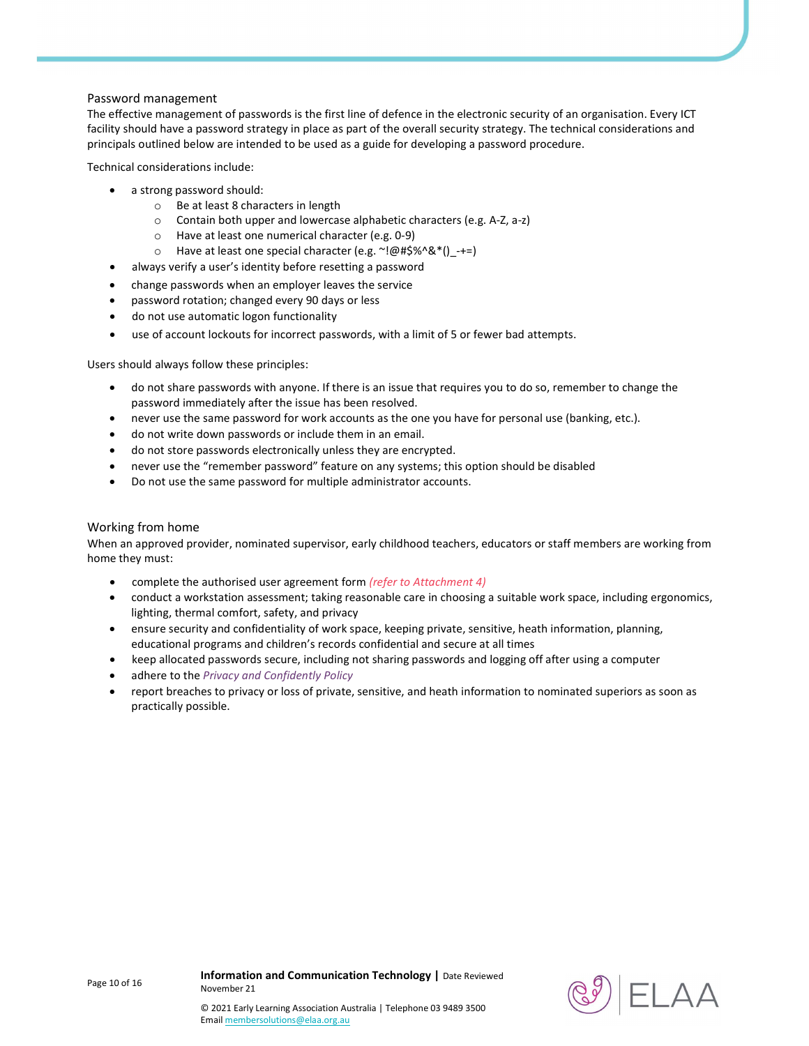## Password management

The effective management of passwords is the first line of defence in the electronic security of an organisation. Every ICT facility should have a password strategy in place as part of the overall security strategy. The technical considerations and principals outlined below are intended to be used as a guide for developing a password procedure.

Technical considerations include:

- a strong password should:
	- o Be at least 8 characters in length
	- o Contain both upper and lowercase alphabetic characters (e.g. A-Z, a-z)
	- o Have at least one numerical character (e.g. 0-9)
	- o Have at least one special character (e.g.  $\sim$ !@#\$%^&\*() -+=)
- always verify a user's identity before resetting a password
- change passwords when an employer leaves the service
- password rotation; changed every 90 days or less
- do not use automatic logon functionality
- use of account lockouts for incorrect passwords, with a limit of 5 or fewer bad attempts.

Users should always follow these principles:

- do not share passwords with anyone. If there is an issue that requires you to do so, remember to change the password immediately after the issue has been resolved.
- never use the same password for work accounts as the one you have for personal use (banking, etc.).
- do not write down passwords or include them in an email.
- do not store passwords electronically unless they are encrypted.
- never use the "remember password" feature on any systems; this option should be disabled
- Do not use the same password for multiple administrator accounts.

## Working from home

When an approved provider, nominated supervisor, early childhood teachers, educators or staff members are working from home they must:

- complete the authorised user agreement form (refer to Attachment 4)
- conduct a workstation assessment; taking reasonable care in choosing a suitable work space, including ergonomics, lighting, thermal comfort, safety, and privacy
- ensure security and confidentiality of work space, keeping private, sensitive, heath information, planning, educational programs and children's records confidential and secure at all times
- keep allocated passwords secure, including not sharing passwords and logging off after using a computer
- adhere to the Privacy and Confidently Policy
- report breaches to privacy or loss of private, sensitive, and heath information to nominated superiors as soon as practically possible.

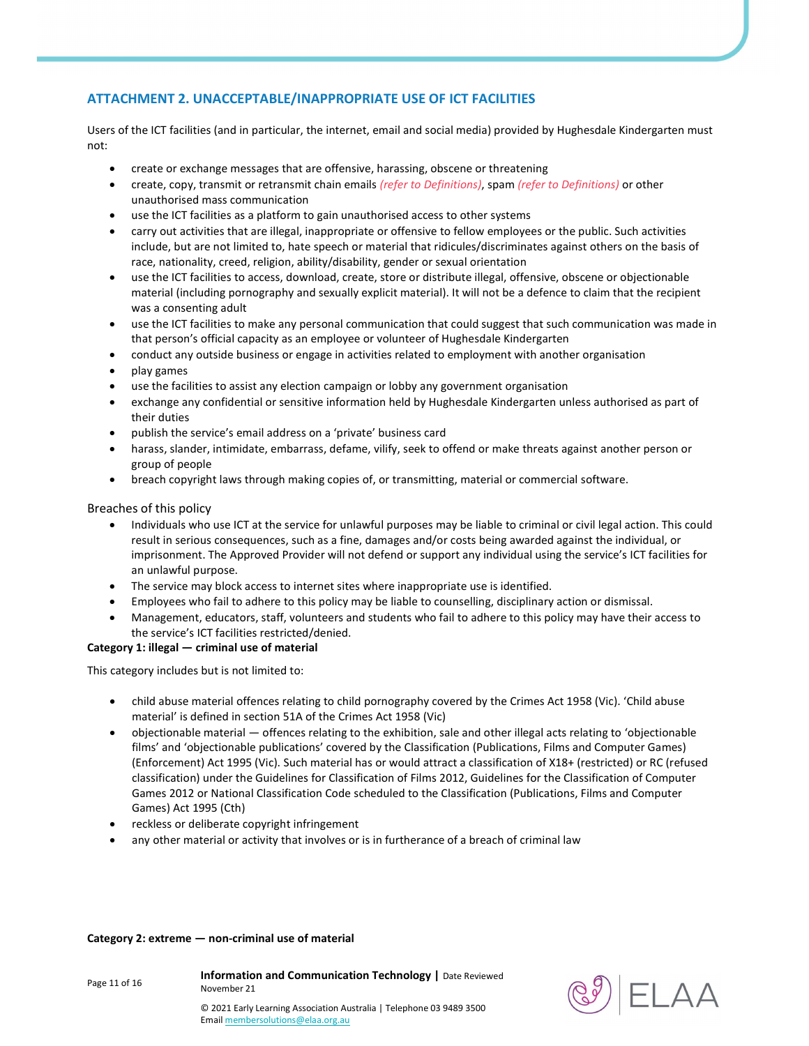# ATTACHMENT 2. UNACCEPTABLE/INAPPROPRIATE USE OF ICT FACILITIES

Users of the ICT facilities (and in particular, the internet, email and social media) provided by Hughesdale Kindergarten must not:

- create or exchange messages that are offensive, harassing, obscene or threatening
- create, copy, transmit or retransmit chain emails (refer to Definitions), spam (refer to Definitions) or other unauthorised mass communication
- use the ICT facilities as a platform to gain unauthorised access to other systems
- carry out activities that are illegal, inappropriate or offensive to fellow employees or the public. Such activities include, but are not limited to, hate speech or material that ridicules/discriminates against others on the basis of race, nationality, creed, religion, ability/disability, gender or sexual orientation
- use the ICT facilities to access, download, create, store or distribute illegal, offensive, obscene or objectionable material (including pornography and sexually explicit material). It will not be a defence to claim that the recipient was a consenting adult
- use the ICT facilities to make any personal communication that could suggest that such communication was made in that person's official capacity as an employee or volunteer of Hughesdale Kindergarten
- conduct any outside business or engage in activities related to employment with another organisation
- play games
- use the facilities to assist any election campaign or lobby any government organisation
- exchange any confidential or sensitive information held by Hughesdale Kindergarten unless authorised as part of their duties
- publish the service's email address on a 'private' business card
- harass, slander, intimidate, embarrass, defame, vilify, seek to offend or make threats against another person or group of people
- breach copyright laws through making copies of, or transmitting, material or commercial software.

#### Breaches of this policy

- Individuals who use ICT at the service for unlawful purposes may be liable to criminal or civil legal action. This could result in serious consequences, such as a fine, damages and/or costs being awarded against the individual, or imprisonment. The Approved Provider will not defend or support any individual using the service's ICT facilities for an unlawful purpose.
- The service may block access to internet sites where inappropriate use is identified.
- Employees who fail to adhere to this policy may be liable to counselling, disciplinary action or dismissal.
- Management, educators, staff, volunteers and students who fail to adhere to this policy may have their access to the service's ICT facilities restricted/denied.

#### Category 1: illegal — criminal use of material

This category includes but is not limited to:

- child abuse material offences relating to child pornography covered by the Crimes Act 1958 (Vic). 'Child abuse material' is defined in section 51A of the Crimes Act 1958 (Vic)
- objectionable material offences relating to the exhibition, sale and other illegal acts relating to 'objectionable films' and 'objectionable publications' covered by the Classification (Publications, Films and Computer Games) (Enforcement) Act 1995 (Vic). Such material has or would attract a classification of X18+ (restricted) or RC (refused classification) under the Guidelines for Classification of Films 2012, Guidelines for the Classification of Computer Games 2012 or National Classification Code scheduled to the Classification (Publications, Films and Computer Games) Act 1995 (Cth)
- reckless or deliberate copyright infringement
- any other material or activity that involves or is in furtherance of a breach of criminal law

#### Category 2: extreme — non-criminal use of material

Page 11 of 16

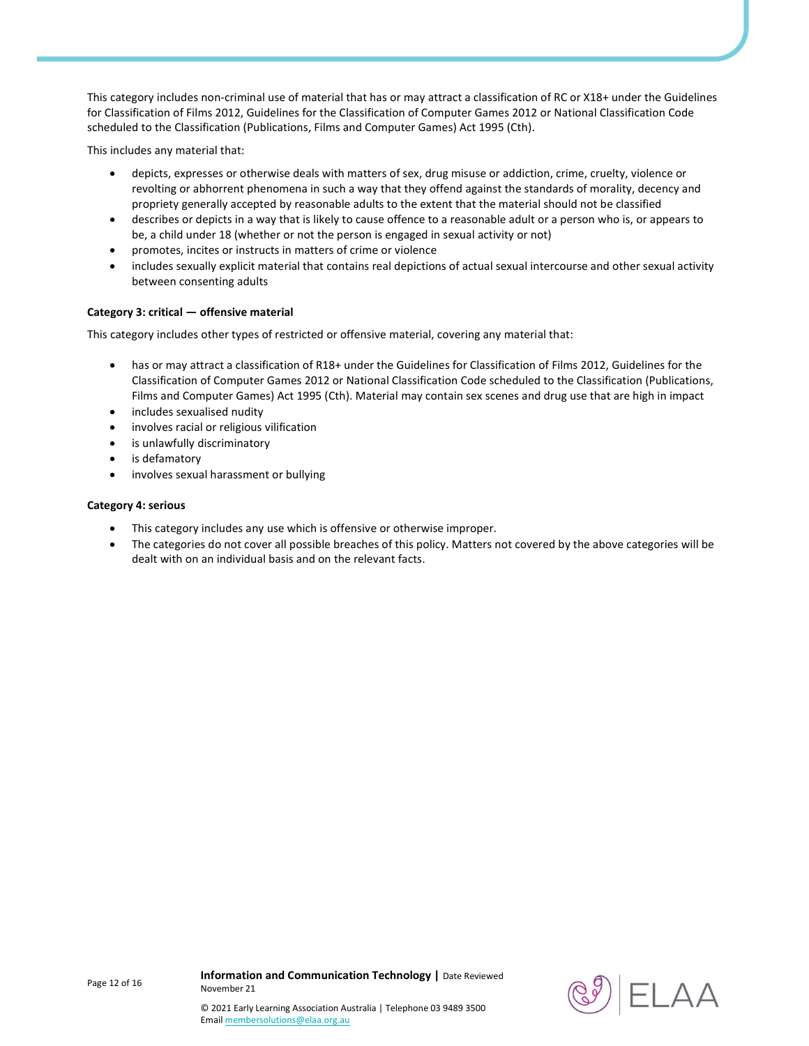This category includes non-criminal use of material that has or may attract a classification of RC or X18+ under the Guidelines for Classification of Films 2012, Guidelines for the Classification of Computer Games 2012 or National Classification Code scheduled to the Classification (Publications, Films and Computer Games) Act 1995 (Cth).

This includes any material that:

- depicts, expresses or otherwise deals with matters of sex, drug misuse or addiction, crime, cruelty, violence or revolting or abhorrent phenomena in such a way that they offend against the standards of morality, decency and propriety generally accepted by reasonable adults to the extent that the material should not be classified
- describes or depicts in a way that is likely to cause offence to a reasonable adult or a person who is, or appears to be, a child under 18 (whether or not the person is engaged in sexual activity or not)
- promotes, incites or instructs in matters of crime or violence
- includes sexually explicit material that contains real depictions of actual sexual intercourse and other sexual activity between consenting adults

## Category 3: critical — offensive material

This category includes other types of restricted or offensive material, covering any material that:

- has or may attract a classification of R18+ under the Guidelines for Classification of Films 2012, Guidelines for the Classification of Computer Games 2012 or National Classification Code scheduled to the Classification (Publications, Films and Computer Games) Act 1995 (Cth). Material may contain sex scenes and drug use that are high in impact
- includes sexualised nudity
- involves racial or religious vilification
- is unlawfully discriminatory
- is defamatory
- involves sexual harassment or bullying

#### Category 4: serious

- This category includes any use which is offensive or otherwise improper.
- The categories do not cover all possible breaches of this policy. Matters not covered by the above categories will be dealt with on an individual basis and on the relevant facts.



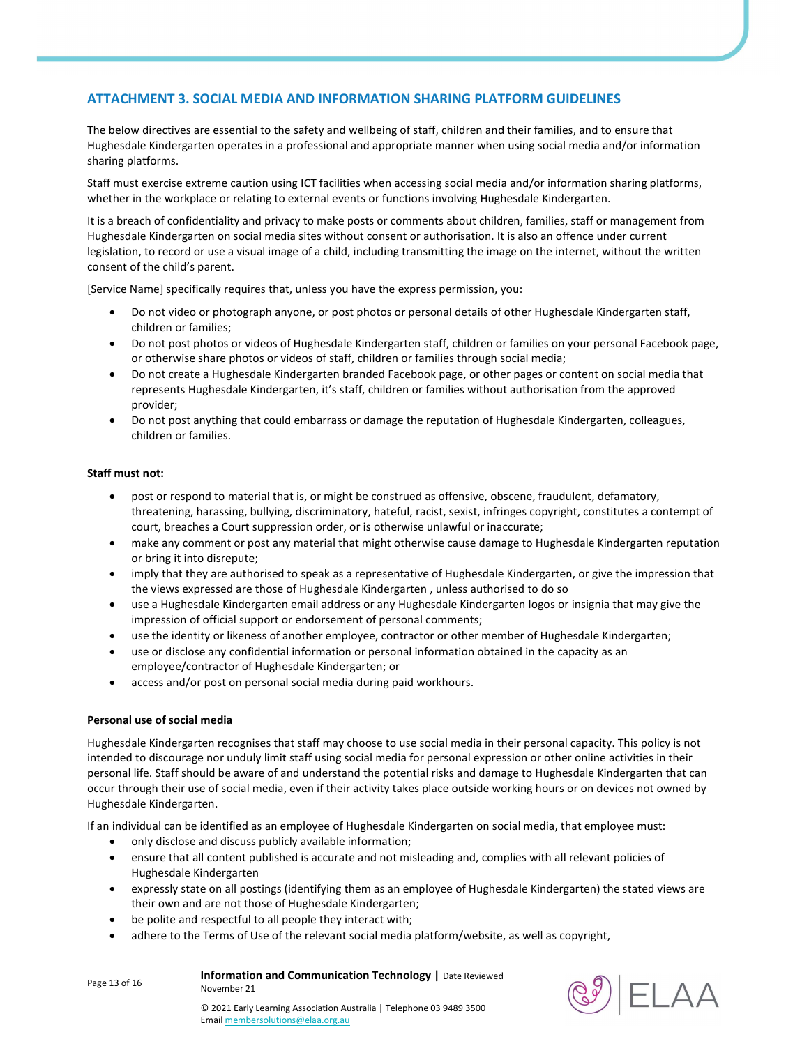# ATTACHMENT 3. SOCIAL MEDIA AND INFORMATION SHARING PLATFORM GUIDELINES

The below directives are essential to the safety and wellbeing of staff, children and their families, and to ensure that Hughesdale Kindergarten operates in a professional and appropriate manner when using social media and/or information sharing platforms.

Staff must exercise extreme caution using ICT facilities when accessing social media and/or information sharing platforms, whether in the workplace or relating to external events or functions involving Hughesdale Kindergarten.

It is a breach of confidentiality and privacy to make posts or comments about children, families, staff or management from Hughesdale Kindergarten on social media sites without consent or authorisation. It is also an offence under current legislation, to record or use a visual image of a child, including transmitting the image on the internet, without the written consent of the child's parent.

[Service Name] specifically requires that, unless you have the express permission, you:

- Do not video or photograph anyone, or post photos or personal details of other Hughesdale Kindergarten staff, children or families;
- Do not post photos or videos of Hughesdale Kindergarten staff, children or families on your personal Facebook page, or otherwise share photos or videos of staff, children or families through social media;
- Do not create a Hughesdale Kindergarten branded Facebook page, or other pages or content on social media that represents Hughesdale Kindergarten, it's staff, children or families without authorisation from the approved provider;
- Do not post anything that could embarrass or damage the reputation of Hughesdale Kindergarten, colleagues, children or families.

## Staff must not:

- post or respond to material that is, or might be construed as offensive, obscene, fraudulent, defamatory, threatening, harassing, bullying, discriminatory, hateful, racist, sexist, infringes copyright, constitutes a contempt of court, breaches a Court suppression order, or is otherwise unlawful or inaccurate;
- make any comment or post any material that might otherwise cause damage to Hughesdale Kindergarten reputation or bring it into disrepute;
- imply that they are authorised to speak as a representative of Hughesdale Kindergarten, or give the impression that the views expressed are those of Hughesdale Kindergarten , unless authorised to do so
- use a Hughesdale Kindergarten email address or any Hughesdale Kindergarten logos or insignia that may give the impression of official support or endorsement of personal comments;
- use the identity or likeness of another employee, contractor or other member of Hughesdale Kindergarten;
- use or disclose any confidential information or personal information obtained in the capacity as an employee/contractor of Hughesdale Kindergarten; or
- access and/or post on personal social media during paid workhours.

#### Personal use of social media

Hughesdale Kindergarten recognises that staff may choose to use social media in their personal capacity. This policy is not intended to discourage nor unduly limit staff using social media for personal expression or other online activities in their personal life. Staff should be aware of and understand the potential risks and damage to Hughesdale Kindergarten that can occur through their use of social media, even if their activity takes place outside working hours or on devices not owned by Hughesdale Kindergarten.

If an individual can be identified as an employee of Hughesdale Kindergarten on social media, that employee must:

- only disclose and discuss publicly available information;
- ensure that all content published is accurate and not misleading and, complies with all relevant policies of Hughesdale Kindergarten
- expressly state on all postings (identifying them as an employee of Hughesdale Kindergarten) the stated views are their own and are not those of Hughesdale Kindergarten;
- be polite and respectful to all people they interact with;
- adhere to the Terms of Use of the relevant social media platform/website, as well as copyright,

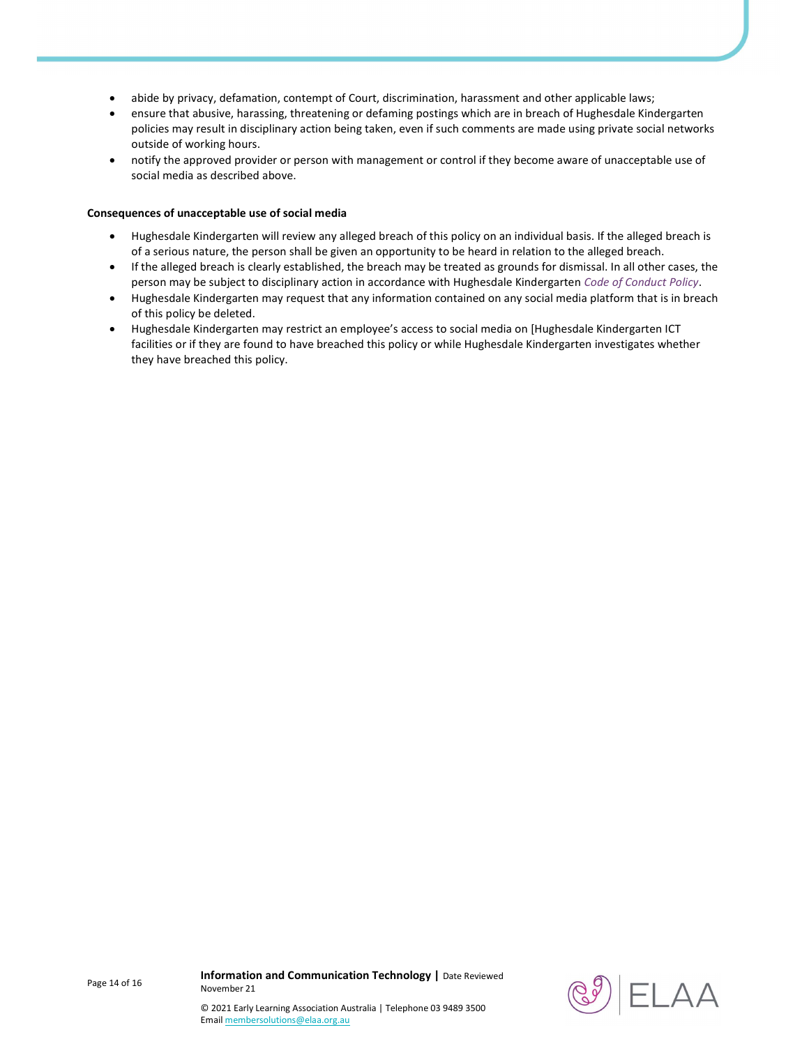- abide by privacy, defamation, contempt of Court, discrimination, harassment and other applicable laws;
- ensure that abusive, harassing, threatening or defaming postings which are in breach of Hughesdale Kindergarten policies may result in disciplinary action being taken, even if such comments are made using private social networks outside of working hours.
- notify the approved provider or person with management or control if they become aware of unacceptable use of social media as described above.

#### Consequences of unacceptable use of social media

- Hughesdale Kindergarten will review any alleged breach of this policy on an individual basis. If the alleged breach is of a serious nature, the person shall be given an opportunity to be heard in relation to the alleged breach.
- If the alleged breach is clearly established, the breach may be treated as grounds for dismissal. In all other cases, the person may be subject to disciplinary action in accordance with Hughesdale Kindergarten Code of Conduct Policy.
- Hughesdale Kindergarten may request that any information contained on any social media platform that is in breach of this policy be deleted.
- Hughesdale Kindergarten may restrict an employee's access to social media on [Hughesdale Kindergarten ICT facilities or if they are found to have breached this policy or while Hughesdale Kindergarten investigates whether they have breached this policy.

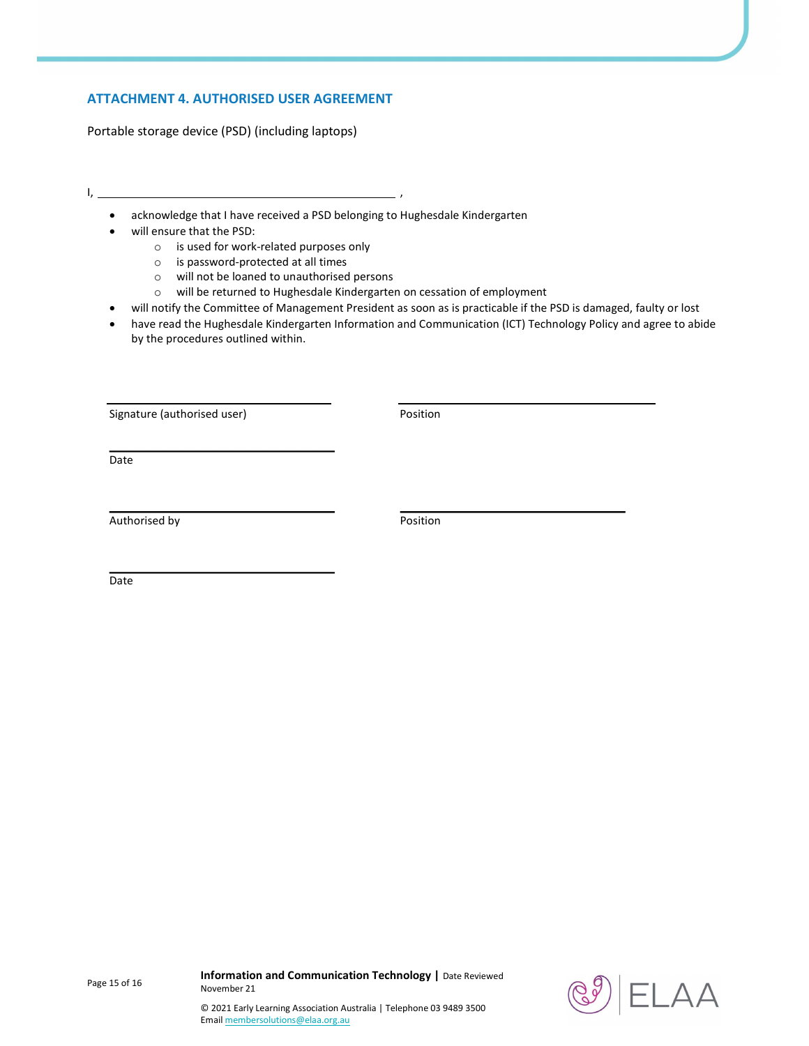# ATTACHMENT 4. AUTHORISED USER AGREEMENT

Portable storage device (PSD) (including laptops)

- I, ,
	- acknowledge that I have received a PSD belonging to Hughesdale Kindergarten
	- will ensure that the PSD:
		- o is used for work-related purposes only
		- o is password-protected at all times
		- o will not be loaned to unauthorised persons
		- o will be returned to Hughesdale Kindergarten on cessation of employment
	- will notify the Committee of Management President as soon as is practicable if the PSD is damaged, faulty or lost
	- have read the Hughesdale Kindergarten Information and Communication (ICT) Technology Policy and agree to abide by the procedures outlined within.

Signature (authorised user) example and the Position

Date

Authorised by **Position** 

Date